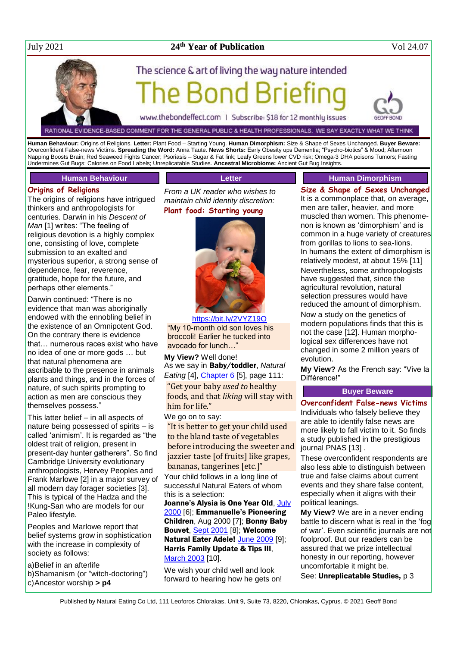#### July 2021 **24**

### **th Year of Publication** Vol 24.07

# The science & art of living the way nature intended

www.thebondeffect.com | Subscribe: \$18 for 12 monthly issues

RATIONAL EVIDENCE-BASED COMMENT FOR THE GENERAL PUBLIC & HEALTH PROFESSIONALS. WE SAY EXACTLY WHAT WE THINK

**Human Behaviour:** Origins of Religions. **Letter:** Plant Food – Starting Young. **Human Dimorphism:** Size & Shape of Sexes Unchanged. **Buyer Beware:** Overconfident False-news Victims. **Spreading the Word:** Anna Taute. **News Shorts:** Early Obesity ups Dementia; "Psycho-biotics" & Mood; Afternoon Napping Boosts Brain; Red Seaweed Fights Cancer; Psoriasis – Sugar & Fat link; Leafy Greens lower CVD risk; Omega-3 DHA poisons Tumors; Fasting Undermines Gut Bugs; Calories on Food Labels; Unreplicatable Studies. **Ancestral Microbiome:** Ancient Gut Bug Insights.

**Letter**

#### **Human Behaviour**

#### **Origins of Religions**

The origins of religions have intrigued thinkers and anthropologists for centuries. Darwin in his *Descent of Man* [1] writes: "The feeling of religious devotion is a highly complex one, consisting of love, complete submission to an exalted and mysterious superior, a strong sense of dependence, fear, reverence, gratitude, hope for the future, and perhaps other elements."

Darwin continued: "There is no evidence that man was aboriginally endowed with the ennobling belief in the existence of an Omnipotent God. On the contrary there is evidence that… numerous races exist who have no idea of one or more gods … but that natural phenomena are ascribable to the presence in animals plants and things, and in the forces of nature, of such spirits prompting to action as men are conscious they themselves possess."

This latter belief – in all aspects of nature being possessed of spirits – is called 'animism'. It is regarded as "the oldest trait of religion, present in present-day hunter gatherers". So find Cambridge University evolutionary anthropologists, Hervey Peoples and Frank Marlowe [2] in a major survey of all modern day forager societies [3]. This is typical of the Hadza and the !Kung-San who are models for our Paleo lifestyle.

Peoples and Marlowe report that belief systems grow in sophistication with the increase in complexity of society as follows:

a)Belief in an afterlife

- b)Shamanism (or "witch-doctoring")
- c)Ancestor worship **> p4**

*From a UK reader who wishes to maintain child identity discretion:* **Plant food: Starting young**



<https://bit.ly/2VYZ19O> "My 10-month old son loves his broccoli! Earlier he tucked into avocado for lunch…"

**My View?** Well done! As we say in Baby/toddler, *Natural Eating* [4], *Chapter 6* [5], page 111: "Get your baby *used to* healthy foods, and that *liking* will stay with him for life."

We go on to say:

"It is better to get your child used to the bland taste of vegetables before introducing the sweeter and jazzier taste [of fruits] like grapes, bananas, tangerines [etc.]"

Your child follows in a long line of successful Natural Eaters of whom this is a selection:

Joanne's Alysia is One Year Old, July [2000](http://www.naturaleater.com/newsletter-archive/NEWS-2000/NEWS-2000-07.pdf) [6]; Emmanuelle's Pioneering Children, Aug 2000 [7]; Bonny Baby Bouvet, [Sept 2001](http://www.naturaleater.com/newsletter-archive/NEWS-2001/NEWS-2001-09.pdf) [8]; Welcome Natural Eater Adele! [June 2009](http://www.naturaleater.com/newsletter-archive/news-2009/news-2009-06.pdf) [9]; Harris Family Update & Tips III, [March 2003](http://www.naturaleater.com/newsletter-archive/NEWS-2020/NEWS-2020-03.pdf) [10].

We wish your child well and look forward to hearing how he gets on!

#### **Human Dimorphism**

**Size & Shape of Sexes Unchanged** It is a commonplace that, on average, men are taller, heavier, and more muscled than women. This phenomenon is known as 'dimorphism' and is common in a huge variety of creatures from gorillas to lions to sea-lions. In humans the extent of dimorphism is relatively modest, at about 15% [11] Nevertheless, some anthropologists have suggested that, since the agricultural revolution, natural selection pressures would have reduced the amount of dimorphism.

Now a study on the genetics of modern populations finds that this is not the case [12]. Human morphological sex differences have not changed in some 2 million years of evolution.

**My View?** As the French say: "Vive la Différence!"

#### **Buyer Beware**

**Overconfident False-news Victims**

Individuals who falsely believe they are able to identify false news are more likely to fall victim to it. So finds a study published in the prestigious journal PNAS [13] .

These overconfident respondents are also less able to distinguish between true and false claims about current events and they share false content, especially when it aligns with their political leanings.

**My View?** We are in a never ending battle to discern what is real in the 'fog of war'. Even scientific journals are not foolproof. But our readers can be assured that we prize intellectual honesty in our reporting, however uncomfortable it might be.

See: Unreplicatable Studies, p 3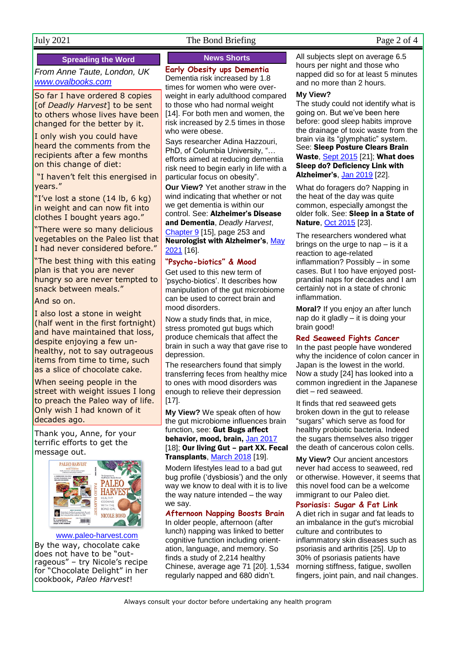#### July 2021 The Bond Briefing Page 2 of 4

#### **Spreading the Word**

*From Anne Taute, London, UK [www.ovalbooks.com](http://www.ovalbooks.com/)*

So far I have ordered 8 copies [of *Deadly Harvest*] to be sent to others whose lives have been changed for the better by it.

I only wish you could have heard the comments from the recipients after a few months on this change of diet:

"I haven't felt this energised in years."

"I've lost a stone (14 lb, 6 kg) in weight and can now fit into clothes I bought years ago."

"There were so many delicious vegetables on the Paleo list that I had never considered before."

"The best thing with this eating plan is that you are never hungry so are never tempted to snack between meals."

#### And so on.

I also lost a stone in weight (half went in the first fortnight) and have maintained that loss, despite enjoying a few unhealthy, not to say outrageous items from time to time, such as a slice of chocolate cake.

When seeing people in the street with weight issues I long to preach the Paleo way of life. Only wish I had known of it decades ago.

Thank you, Anne, for your terrific efforts to get the message out.



#### [www.paleo-harvest.com](http://www.paleo-harvest.com/)

By the way, chocolate cake does not have to be "outrageous" – try Nicole's recipe for "Chocolate Delight" in her cookbook, *Paleo Harvest*!

#### **News Shorts**

#### **Early Obesity ups Dementia**

Dementia risk increased by 1.8 times for women who were overweight in early adulthood compared to those who had normal weight [14]. For both men and women, the risk increased by 2.5 times in those who were obese.

Says researcher Adina Hazzouri, PhD, of Columbia University, "… efforts aimed at reducing dementia risk need to begin early in life with a particular focus on obesity".

**Our View?** Yet another straw in the wind indicating that whether or not we get dementia is within our control. See: Alzheimer's Disease and Dementia, *Deadly Harvest*,

[Chapter 9](http://bit.ly/DH-Ch9) [15], page 253 and Neurologist with Alzheimer's, [May](http://www.naturaleater.com/NEWSLETTER-ARCHIVE/NEWS-2021/NEWS-2021-05.pdf)  [2021](http://www.naturaleater.com/NEWSLETTER-ARCHIVE/NEWS-2021/NEWS-2021-05.pdf) [16].

#### **"Psycho-biotics" & Mood**

Get used to this new term of 'psycho-biotics'. It describes how manipulation of the gut microbiome can be used to correct brain and mood disorders.

Now a study finds that, in mice, stress promoted gut bugs which produce chemicals that affect the brain in such a way that gave rise to depression.

The researchers found that simply transferring feces from healthy mice to ones with mood disorders was enough to relieve their depression [17].

**My View?** We speak often of how the gut microbiome influences brain function, see: Gut Bugs affect behavior, mood, brain, [Jan 2017](http://www.naturaleater.com/newsletter-archive/NEWS-2017/NEWS-2017-01.pdf) [18]; Our living Gut - part XX. Fecal Transplants[, March 2018](http://www.naturaleater.com/newsletter-archive/NEWS-2018/NEWS-2018-03.pdf) [19].

Modern lifestyles lead to a bad gut bug profile ('dysbiosis') and the only way we know to deal with it is to live the way nature intended – the way we say.

#### **Afternoon Napping Boosts Brain**

In older people, afternoon (after lunch) napping was linked to better cognitive function including orientation, language, and memory. So finds a study of 2,214 healthy Chinese, average age 71 [20]. 1,534 regularly napped and 680 didn't.

All subjects slept on average 6.5 hours per night and those who napped did so for at least 5 minutes and no more than 2 hours.

#### **My View?**

The study could not identify what is going on. But we've been here before: good sleep habits improve the drainage of toxic waste from the brain via its "glymphatic" system. See: Sleep Posture Clears Brain Waste, [Sept 2015](http://www.naturaleater.com/newsletter-archive/NEWS-2015/NEWS-2015-09.pdf) [21]; What does Sleep do? Deficiency Link with Alzheimer's[, Jan 2019](http://www.naturaleater.com/NEWSLETTER-ARCHIVE/NEWS-2019/NEWS-2019-01.pdf) [22].

What do foragers do? Napping in the heat of the day was quite common, especially amongst the older folk. See: Sleep in a State of Nature, [Oct 2015](http://www.naturaleater.com/newsletter-archive/NEWS-2015/NEWS-2015-10.pdf) [23].

The researchers wondered what brings on the urge to nap – is it a reaction to age-related inflammation? Possibly – in some cases. But I too have enjoyed postprandial naps for decades and I am certainly not in a state of chronic inflammation.

**Moral?** If you enjoy an after lunch nap do it gladly – it is doing your brain good!

#### **Red Seaweed Fights Cancer**

In the past people have wondered why the incidence of colon cancer in Japan is the lowest in the world. Now a study [24] has looked into a common ingredient in the Japanese diet – red seaweed.

It finds that red seaweed gets broken down in the gut to release "sugars" which serve as food for healthy probiotic bacteria. Indeed the sugars themselves also trigger the death of cancerous colon cells.

**My View?** Our ancient ancestors never had access to seaweed, red or otherwise. However, it seems that this novel food can be a welcome immigrant to our Paleo diet.

#### **Psoriasis: Sugar & Fat Link**

A diet rich in sugar and fat leads to an imbalance in the gut's microbial culture and contributes to inflammatory skin diseases such as psoriasis and arthritis [25]. Up to 30% of psoriasis patients have morning stiffness, fatigue, swollen fingers, joint pain, and nail changes.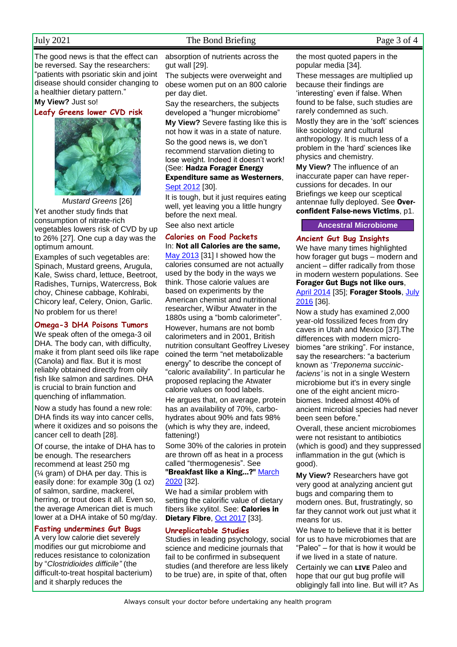#### July 2021 The Bond Briefing Page 3 of 4

The good news is that the effect can be reversed. Say the researchers: "patients with psoriatic skin and joint disease should consider changing to a healthier dietary pattern."

#### **My View?** Just so!

**Leafy Greens lower CVD risk**



*Mustard Greens* [26] Yet another study finds that consumption of nitrate-rich vegetables lowers risk of CVD by up to 26% [27]. One cup a day was the optimum amount.

Examples of such vegetables are: Spinach, Mustard greens, Arugula, Kale, Swiss chard, lettuce, Beetroot, Radishes, Turnips, Watercress, Bok choy, Chinese cabbage, Kohlrabi, Chicory leaf, Celery, Onion, Garlic. No problem for us there!

#### **Omega-3 DHA Poisons Tumors**

We speak often of the omega-3 oil DHA. The body can, with difficulty, make it from plant seed oils like rape (Canola) and flax. But it is most reliably obtained directly from oily fish like salmon and sardines. DHA is crucial to brain function and quenching of inflammation.

Now a study has found a new role: DHA finds its way into cancer cells, where it oxidizes and so poisons the cancer cell to death [28].

Of course, the intake of DHA has to be enough. The researchers recommend at least 250 mg (¼ gram) of DHA per day. This is easily done: for example 30g (1 oz) of salmon, sardine, mackerel, herring, or trout does it all. Even so, the average American diet is much lower at a DHA intake of 50 mg/day.

#### **Fasting undermines Gut Bugs**

A very low calorie diet severely modifies our gut microbiome and reduces resistance to colonization by "*Clostridioides difficile"* (the difficult-to-treat hospital bacterium) and it sharply reduces the

absorption of nutrients across the gut wall [29].

The subjects were overweight and obese women put on an 800 calorie per day diet.

Say the researchers, the subjects developed a "hunger microbiome"

**My View?** Severe fasting like this is not how it was in a state of nature.

So the good news is, we don't recommend starvation dieting to lose weight. Indeed it doesn't work! (See: Hadza Forager Energy Expenditure same as Westerners, [Sept 2012](http://www.naturaleater.com/newsletter-archive/NEWS-2012/NEWS-2012-09.pdf) [30].

It is tough, but it just requires eating well, yet leaving you a little hungry before the next meal.

See also next article

#### **Calories on Food Packets**

In: Not all Calories are the same, [May 2013](http://www.naturaleater.com/newsletter-archive/NEWS-2013/NEWS-2013-05.pdf) [31] I showed how the calories consumed are not actually used by the body in the ways we think. Those calorie values are based on experiments by the American chemist and nutritional researcher, Wilbur Atwater in the 1880s using a "bomb calorimeter". However, humans are not bomb calorimeters and in 2001, British nutrition consultant Geoffrey Livesey coined the term "net metabolizable energy" to describe the concept of "caloric availability". In particular he proposed replacing the Atwater calorie values on food labels.

He argues that, on average, protein has an availability of 70%, carbohydrates about 90% and fats 98% (which is why they are, indeed, fattening!)

Some 30% of the calories in protein are thrown off as heat in a process called "thermogenesis". See "Breakfast like a King...?" March [2020](http://www.naturaleater.com/newsletter-archive/NEWS-2020/NEWS-2020-03.pdf) [32].

We had a similar problem with setting the calorific value of dietary fibers like xylitol. See: Calories in Dietary Fibre, [Oct 2017](http://www.naturaleater.com/newsletter-archive/NEWS-2017/NEWS-2017-10.pdf) [33].

#### **Unreplicatable Studies**

Studies in leading psychology, social science and medicine journals that fail to be confirmed in subsequent studies (and therefore are less likely to be true) are, in spite of that, often

the most quoted papers in the popular media [34].

These messages are multiplied up because their findings are 'interesting' even if false. When found to be false, such studies are rarely condemned as such.

Mostly they are in the 'soft' sciences like sociology and cultural anthropology. It is much less of a problem in the 'hard' sciences like physics and chemistry.

**My View?** The influence of an inaccurate paper can have repercussions for decades. In our Briefings we keep our sceptical antennae fully deployed. See Overconfident False-news Victims, p1.

#### **Ancestral Microbiome**

**Ancient Gut Bug Insights** 

We have many times highlighted how forager gut bugs – modern and ancient – differ radically from those in modern western populations. See Forager Gut Bugs not like ours, [April 2014](http://www.naturaleater.com/newsletter-archive/NEWS-2014/NEWS-2014-04.pdf) [35]; Forager Stools, July [2016](http://www.naturaleater.com/newsletter-archive/NEWS-2016/NEWS-2016-07.pdf) [36].

Now a study has examined 2,000 year-old fossilized feces from dry caves in Utah and Mexico [37].The differences with modern microbiomes "are striking". For instance, say the researchers: "a bacterium known as '*Treponema succinicfaciens'* is not in a single Western microbiome but it's in every single one of the eight ancient microbiomes. Indeed almost 40% of ancient microbial species had never been seen before."

Overall, these ancient microbiomes were not resistant to antibiotics (which is good) and they suppressed inflammation in the gut (which is good).

**My View?** Researchers have got very good at analyzing ancient gut bugs and comparing them to modern ones. But, frustratingly, so far they cannot work out just what it means for us.

We have to believe that it is better for us to have microbiomes that are "Paleo" – for that is how it would be if we lived in a state of nature.

Certainly we can **LIVE** Paleo and hope that our gut bug profile will obligingly fall into line. But will it? As